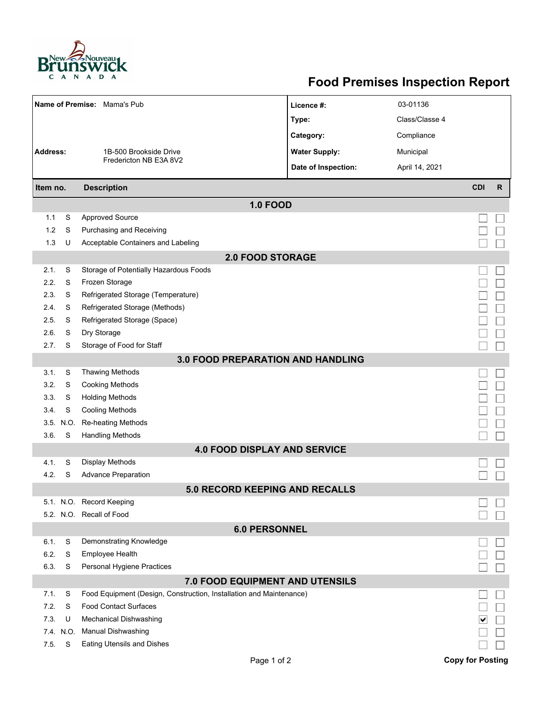

## **Food Premises Inspection Report**

|                                 |          | Name of Premise: Mama's Pub                                         | Licence #:           | 03-01136       |                         |              |  |  |  |  |  |  |
|---------------------------------|----------|---------------------------------------------------------------------|----------------------|----------------|-------------------------|--------------|--|--|--|--|--|--|
|                                 |          |                                                                     | Type:                | Class/Classe 4 |                         |              |  |  |  |  |  |  |
|                                 |          |                                                                     | Category:            | Compliance     |                         |              |  |  |  |  |  |  |
| <b>Address:</b>                 |          | 1B-500 Brookside Drive<br>Fredericton NB E3A 8V2                    | <b>Water Supply:</b> | Municipal      |                         |              |  |  |  |  |  |  |
|                                 |          |                                                                     | Date of Inspection:  |                |                         |              |  |  |  |  |  |  |
|                                 |          |                                                                     |                      | April 14, 2021 |                         |              |  |  |  |  |  |  |
| Item no.                        |          | <b>Description</b>                                                  |                      |                | <b>CDI</b>              | $\mathsf{R}$ |  |  |  |  |  |  |
| <b>1.0 FOOD</b>                 |          |                                                                     |                      |                |                         |              |  |  |  |  |  |  |
| 1.1                             | S        | <b>Approved Source</b>                                              |                      |                |                         |              |  |  |  |  |  |  |
| 1.2                             | S        | Purchasing and Receiving                                            |                      |                |                         |              |  |  |  |  |  |  |
| 1.3                             | U        | Acceptable Containers and Labeling                                  |                      |                |                         |              |  |  |  |  |  |  |
| <b>2.0 FOOD STORAGE</b>         |          |                                                                     |                      |                |                         |              |  |  |  |  |  |  |
| 2.1.                            | S        | Storage of Potentially Hazardous Foods                              |                      |                |                         |              |  |  |  |  |  |  |
| 2.2.                            | S        | Frozen Storage                                                      |                      |                |                         |              |  |  |  |  |  |  |
| 2.3                             | S        | Refrigerated Storage (Temperature)                                  |                      |                |                         |              |  |  |  |  |  |  |
| 2.4.                            | S        | Refrigerated Storage (Methods)                                      |                      |                |                         |              |  |  |  |  |  |  |
| 2.5.                            | S        | Refrigerated Storage (Space)                                        |                      |                |                         |              |  |  |  |  |  |  |
| 2.6.                            | S        | Dry Storage                                                         |                      |                |                         |              |  |  |  |  |  |  |
| 2.7.                            | S        | Storage of Food for Staff                                           |                      |                |                         |              |  |  |  |  |  |  |
|                                 |          | <b>3.0 FOOD PREPARATION AND HANDLING</b>                            |                      |                |                         |              |  |  |  |  |  |  |
| 3.1.                            | S        | <b>Thawing Methods</b>                                              |                      |                |                         |              |  |  |  |  |  |  |
| 3.2.                            | S        | <b>Cooking Methods</b>                                              |                      |                |                         |              |  |  |  |  |  |  |
| 3.3.                            | S        | <b>Holding Methods</b>                                              |                      |                |                         |              |  |  |  |  |  |  |
| 3.4.                            | S        | <b>Cooling Methods</b>                                              |                      |                |                         |              |  |  |  |  |  |  |
|                                 | 3.5 N.O. | Re-heating Methods                                                  |                      |                |                         |              |  |  |  |  |  |  |
| 3.6.                            | S        | <b>Handling Methods</b>                                             |                      |                |                         |              |  |  |  |  |  |  |
|                                 |          | <b>4.0 FOOD DISPLAY AND SERVICE</b>                                 |                      |                |                         |              |  |  |  |  |  |  |
| 4.1.                            | S        | Display Methods                                                     |                      |                |                         |              |  |  |  |  |  |  |
| 4.2.                            | S        | <b>Advance Preparation</b>                                          |                      |                |                         |              |  |  |  |  |  |  |
|                                 |          | 5.0 RECORD KEEPING AND RECALLS                                      |                      |                |                         |              |  |  |  |  |  |  |
|                                 |          | 5.1. N.O. Record Keeping                                            |                      |                |                         |              |  |  |  |  |  |  |
|                                 |          | 5.2. N.O. Recall of Food                                            |                      |                |                         |              |  |  |  |  |  |  |
| <b>6.0 PERSONNEL</b>            |          |                                                                     |                      |                |                         |              |  |  |  |  |  |  |
| 6.1.                            | S        | Demonstrating Knowledge                                             |                      |                |                         |              |  |  |  |  |  |  |
| 6.2.                            | S        | Employee Health                                                     |                      |                |                         |              |  |  |  |  |  |  |
| 6.3.                            | S        | Personal Hygiene Practices                                          |                      |                |                         |              |  |  |  |  |  |  |
| 7.0 FOOD EQUIPMENT AND UTENSILS |          |                                                                     |                      |                |                         |              |  |  |  |  |  |  |
| 7.1.                            | S        | Food Equipment (Design, Construction, Installation and Maintenance) |                      |                |                         |              |  |  |  |  |  |  |
| 7.2.                            | S        | <b>Food Contact Surfaces</b>                                        |                      |                |                         |              |  |  |  |  |  |  |
| 7.3.                            | U        | <b>Mechanical Dishwashing</b>                                       |                      |                |                         |              |  |  |  |  |  |  |
| 7.4.                            | N.O.     | <b>Manual Dishwashing</b>                                           |                      |                |                         |              |  |  |  |  |  |  |
| 7.5.                            | S        | Eating Utensils and Dishes                                          |                      |                |                         |              |  |  |  |  |  |  |
|                                 |          | Page 1 of 2                                                         |                      |                | <b>Copy for Posting</b> |              |  |  |  |  |  |  |